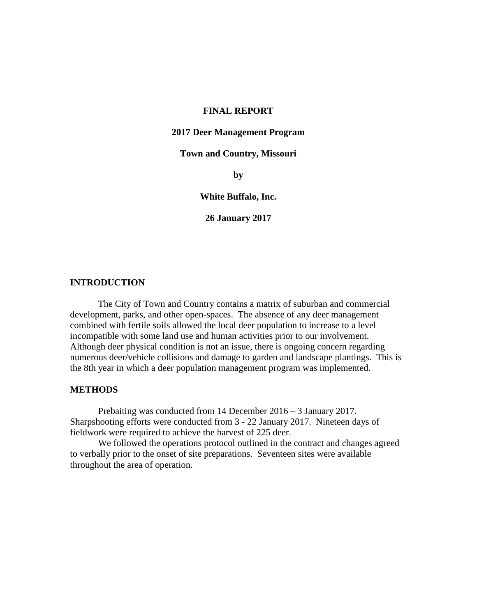#### **FINAL REPORT**

#### **2017 Deer Management Program**

### **Town and Country, Missouri**

**by**

#### **White Buffalo, Inc.**

**26 January 2017**

# **INTRODUCTION**

The City of Town and Country contains a matrix of suburban and commercial development, parks, and other open-spaces. The absence of any deer management combined with fertile soils allowed the local deer population to increase to a level incompatible with some land use and human activities prior to our involvement. Although deer physical condition is not an issue, there is ongoing concern regarding numerous deer/vehicle collisions and damage to garden and landscape plantings. This is the 8th year in which a deer population management program was implemented.

#### **METHODS**

Prebaiting was conducted from 14 December 2016 – 3 January 2017. Sharpshooting efforts were conducted from 3 - 22 January 2017. Nineteen days of fieldwork were required to achieve the harvest of 225 deer.

We followed the operations protocol outlined in the contract and changes agreed to verbally prior to the onset of site preparations. Seventeen sites were available throughout the area of operation.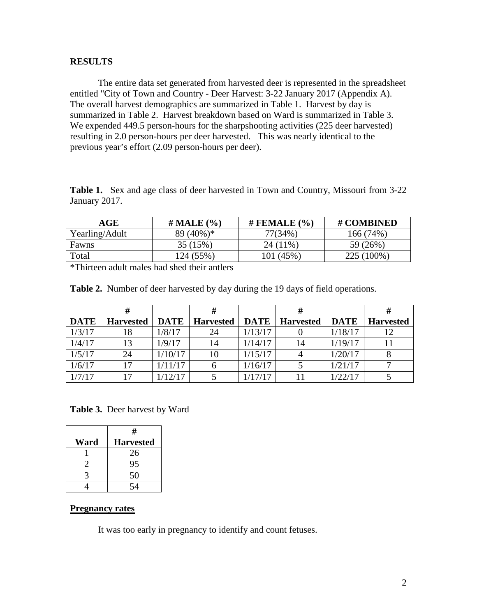#### **RESULTS**

The entire data set generated from harvested deer is represented in the spreadsheet entitled "City of Town and Country - Deer Harvest: 3-22 January 2017 (Appendix A). The overall harvest demographics are summarized in Table 1. Harvest by day is summarized in Table 2. Harvest breakdown based on Ward is summarized in Table 3. We expended 449.5 person-hours for the sharpshooting activities (225 deer harvested) resulting in 2.0 person-hours per deer harvested. This was nearly identical to the previous year's effort (2.09 person-hours per deer).

**Table 1.** Sex and age class of deer harvested in Town and Country, Missouri from 3-22 January 2017.

| AGE            | $#$ MALE $(\% )$ | # FEMALE $(% )$ | # COMBINED |
|----------------|------------------|-----------------|------------|
| Yearling/Adult | $89(40\%)*$      | 77(34%)         | 166 (74%)  |
| Fawns          | 35 (15%)         | $24(11\%$       | 59 (26%)   |
| Total          | 124 (55%)        | $101(45\%$      | 225 (100%) |

\*Thirteen adult males had shed their antlers

|             |                  |             | #                |         | #                       |             |                  |
|-------------|------------------|-------------|------------------|---------|-------------------------|-------------|------------------|
| <b>DATE</b> | <b>Harvested</b> | <b>DATE</b> | <b>Harvested</b> |         | <b>DATE</b>   Harvested | <b>DATE</b> | <b>Harvested</b> |
| 1/3/17      |                  | 1/8/17      | 24               | 1/13/17 |                         | 1/18/17     |                  |
| 1/4/17      | 13               | 1/9/17      | 14               | 1/14/17 | 14                      | 1/19/17     |                  |
| 1/5/17      | 24               | 1/10/17     | 10               | 1/15/17 | 4                       | 1/20/17     |                  |
| 1/6/17      |                  | 1/11/17     |                  | 1/16/17 |                         | 1/21/17     |                  |
| 1/7/17      | 17               | 1/12/17     |                  | 1/17/17 |                         | 1/22/17     |                  |

**Table 2.** Number of deer harvested by day during the 19 days of field operations.

**Table 3.** Deer harvest by Ward

|      | #                |
|------|------------------|
| Ward | <b>Harvested</b> |
|      | 26               |
|      | 95               |
|      | 50               |
|      |                  |

# **Pregnancy rates**

It was too early in pregnancy to identify and count fetuses.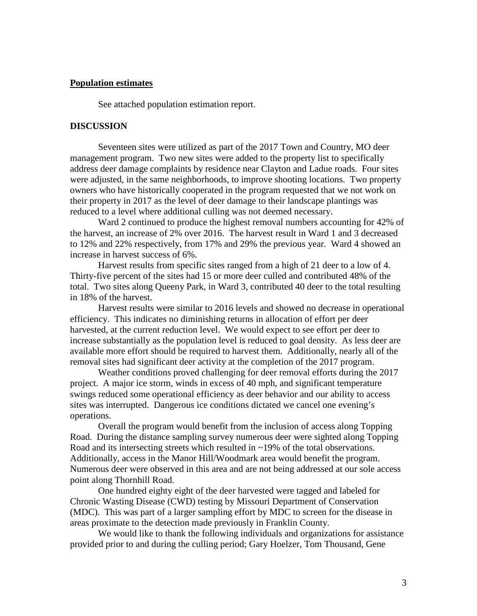### **Population estimates**

See attached population estimation report.

#### **DISCUSSION**

Seventeen sites were utilized as part of the 2017 Town and Country, MO deer management program. Two new sites were added to the property list to specifically address deer damage complaints by residence near Clayton and Ladue roads. Four sites were adjusted, in the same neighborhoods, to improve shooting locations. Two property owners who have historically cooperated in the program requested that we not work on their property in 2017 as the level of deer damage to their landscape plantings was reduced to a level where additional culling was not deemed necessary.

Ward 2 continued to produce the highest removal numbers accounting for 42% of the harvest, an increase of 2% over 2016. The harvest result in Ward 1 and 3 decreased to 12% and 22% respectively, from 17% and 29% the previous year. Ward 4 showed an increase in harvest success of 6%.

Harvest results from specific sites ranged from a high of 21 deer to a low of 4. Thirty-five percent of the sites had 15 or more deer culled and contributed 48% of the total. Two sites along Queeny Park, in Ward 3, contributed 40 deer to the total resulting in 18% of the harvest.

Harvest results were similar to 2016 levels and showed no decrease in operational efficiency. This indicates no diminishing returns in allocation of effort per deer harvested, at the current reduction level. We would expect to see effort per deer to increase substantially as the population level is reduced to goal density. As less deer are available more effort should be required to harvest them. Additionally, nearly all of the removal sites had significant deer activity at the completion of the 2017 program.

Weather conditions proved challenging for deer removal efforts during the 2017 project. A major ice storm, winds in excess of 40 mph, and significant temperature swings reduced some operational efficiency as deer behavior and our ability to access sites was interrupted. Dangerous ice conditions dictated we cancel one evening's operations.

Overall the program would benefit from the inclusion of access along Topping Road. During the distance sampling survey numerous deer were sighted along Topping Road and its intersecting streets which resulted in ~19% of the total observations. Additionally, access in the Manor Hill/Woodmark area would benefit the program. Numerous deer were observed in this area and are not being addressed at our sole access point along Thornhill Road.

One hundred eighty eight of the deer harvested were tagged and labeled for Chronic Wasting Disease (CWD) testing by Missouri Department of Conservation (MDC). This was part of a larger sampling effort by MDC to screen for the disease in areas proximate to the detection made previously in Franklin County.

We would like to thank the following individuals and organizations for assistance provided prior to and during the culling period; Gary Hoelzer, Tom Thousand, Gene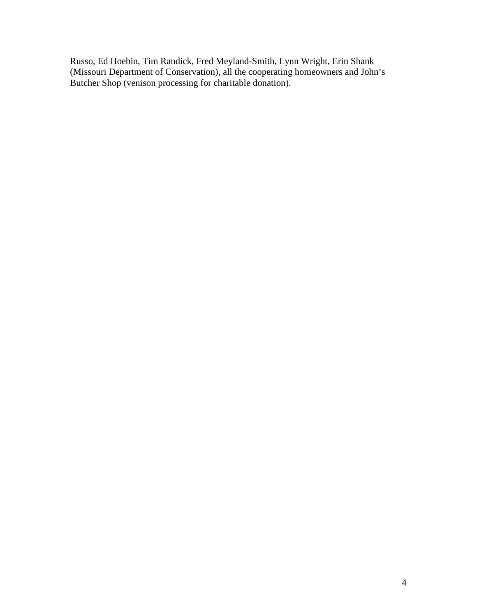Russo, Ed Hoebin, Tim Randick, Fred Meyland-Smith, Lynn Wright, Erin Shank (Missouri Department of Conservation), all the cooperating homeowners and John's Butcher Shop (venison processing for charitable donation).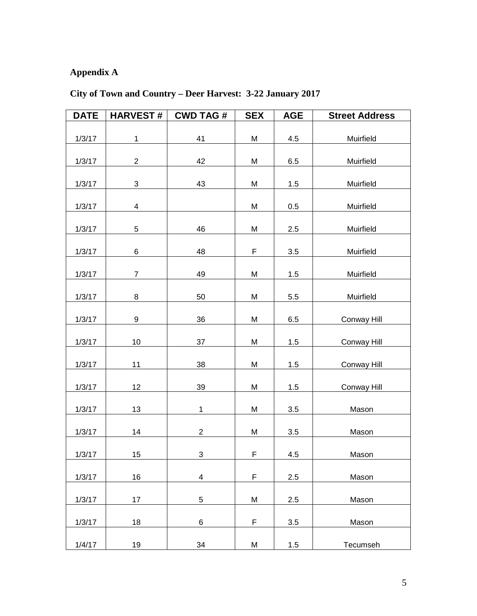# **Appendix A**

| <b>DATE</b> | <b>HARVEST#</b>         | <b>CWD TAG#</b> | <b>SEX</b>  | <b>AGE</b> | <b>Street Address</b> |
|-------------|-------------------------|-----------------|-------------|------------|-----------------------|
| 1/3/17      | $\mathbf{1}$            | 41              | M           | 4.5        | Muirfield             |
| 1/3/17      | $\overline{2}$          | 42              | M           | 6.5        | Muirfield             |
| 1/3/17      | 3                       | 43              | M           | 1.5        | Muirfield             |
| 1/3/17      | $\overline{\mathbf{4}}$ |                 | М           | 0.5        | Muirfield             |
| 1/3/17      | 5                       | 46              | M           | 2.5        | Muirfield             |
| 1/3/17      | 6                       | 48              | F           | 3.5        | Muirfield             |
| 1/3/17      | $\overline{7}$          | 49              | M           | 1.5        | Muirfield             |
| 1/3/17      | 8                       | 50              | M           | 5.5        | Muirfield             |
| 1/3/17      | 9                       | 36              | M           | 6.5        | Conway Hill           |
| 1/3/17      | 10                      | 37              | M           | 1.5        | Conway Hill           |
| 1/3/17      | 11                      | 38              | M           | 1.5        | Conway Hill           |
| 1/3/17      | 12                      | 39              | M           | $1.5$      | Conway Hill           |
| 1/3/17      | 13                      | $\mathbf{1}$    | M           | 3.5        | Mason                 |
| 1/3/17      | 14                      | $\overline{c}$  | M           | 3.5        | Mason                 |
|             | 15                      | 3               | F           | 4.5        |                       |
| 1/3/17      |                         |                 | F           | 2.5        | Mason                 |
| 1/3/17      | 16                      | 4               |             |            | Mason                 |
| 1/3/17      | 17                      | 5               | M           | 2.5        | Mason                 |
| 1/3/17      | 18                      | 6               | $\mathsf F$ | 3.5        | Mason                 |
| 1/4/17      | 19                      | 34              | M           | 1.5        | Tecumseh              |

# **City of Town and Country – Deer Harvest: 3-22 January 2017**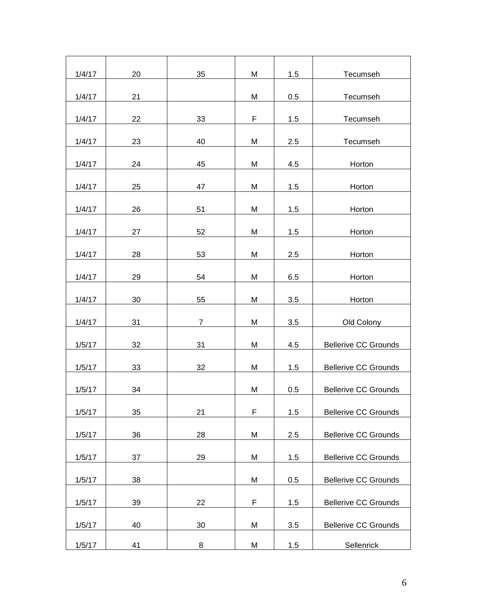| 1/4/17 | 20 | 35             | M | 1.5 | Tecumseh                    |
|--------|----|----------------|---|-----|-----------------------------|
| 1/4/17 | 21 |                | M | 0.5 | Tecumseh                    |
| 1/4/17 | 22 | 33             | F | 1.5 | Tecumseh                    |
|        |    |                |   |     |                             |
| 1/4/17 | 23 | 40             | M | 2.5 | Tecumseh                    |
| 1/4/17 | 24 | 45             | M | 4.5 | Horton                      |
| 1/4/17 | 25 | 47             | M | 1.5 | Horton                      |
| 1/4/17 | 26 | 51             | M | 1.5 | Horton                      |
|        |    |                |   |     |                             |
| 1/4/17 | 27 | 52             | M | 1.5 | Horton                      |
| 1/4/17 | 28 | 53             | M | 2.5 | Horton                      |
| 1/4/17 | 29 | 54             | M | 6.5 | Horton                      |
|        |    |                |   |     |                             |
| 1/4/17 | 30 | 55             | M | 3.5 | Horton                      |
| 1/4/17 | 31 | $\overline{7}$ | M | 3.5 | Old Colony                  |
| 1/5/17 | 32 | 31             | M | 4.5 | <b>Bellerive CC Grounds</b> |
| 1/5/17 | 33 | 32             | M | 1.5 | <b>Bellerive CC Grounds</b> |
| 1/5/17 | 34 |                | M | 0.5 | <b>Bellerive CC Grounds</b> |
|        |    |                |   |     |                             |
| 1/5/17 | 35 | 21             | F | 1.5 | <b>Bellerive CC Grounds</b> |
| 1/5/17 | 36 | 28             | M | 2.5 | <b>Bellerive CC Grounds</b> |
| 1/5/17 | 37 | 29             | M | 1.5 | <b>Bellerive CC Grounds</b> |
| 1/5/17 | 38 |                | M | 0.5 | <b>Bellerive CC Grounds</b> |
| 1/5/17 | 39 | 22             | F | 1.5 | <b>Bellerive CC Grounds</b> |
|        |    |                |   |     |                             |
| 1/5/17 | 40 | 30             | M | 3.5 | <b>Bellerive CC Grounds</b> |
| 1/5/17 | 41 | 8              | M | 1.5 | Sellenrick                  |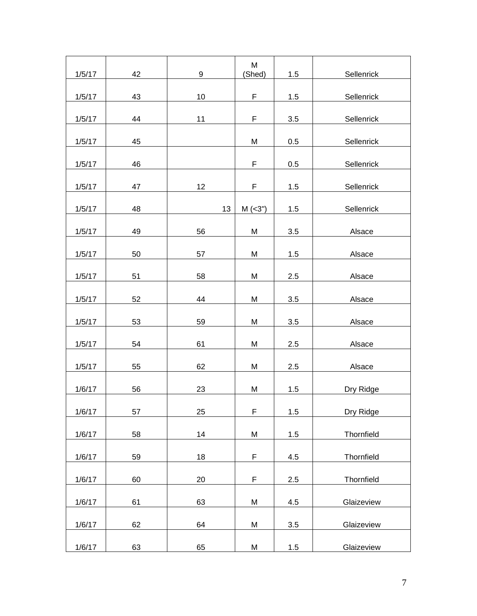|        |    |                  | M           |     |            |
|--------|----|------------------|-------------|-----|------------|
| 1/5/17 | 42 | $\boldsymbol{9}$ | (Shed)      | 1.5 | Sellenrick |
| 1/5/17 | 43 | 10               | F           | 1.5 | Sellenrick |
| 1/5/17 | 44 | 11               | F           | 3.5 | Sellenrick |
| 1/5/17 | 45 |                  | M           | 0.5 | Sellenrick |
| 1/5/17 | 46 |                  | F           | 0.5 | Sellenrick |
| 1/5/17 | 47 | 12               | F           | 1.5 | Sellenrick |
| 1/5/17 | 48 | 13               | $M$ (<3")   | 1.5 | Sellenrick |
| 1/5/17 | 49 | 56               | M           | 3.5 | Alsace     |
| 1/5/17 | 50 | 57               | M           | 1.5 | Alsace     |
| 1/5/17 | 51 | 58               | M           | 2.5 | Alsace     |
| 1/5/17 | 52 | 44               | M           | 3.5 | Alsace     |
| 1/5/17 | 53 | 59               | M           | 3.5 | Alsace     |
| 1/5/17 | 54 | 61               | M           | 2.5 | Alsace     |
| 1/5/17 | 55 | 62               | M           | 2.5 | Alsace     |
| 1/6/17 | 56 | 23               | M           | 1.5 | Dry Ridge  |
| 1/6/17 | 57 | 25               | $\mathsf F$ | 1.5 | Dry Ridge  |
| 1/6/17 | 58 | 14               | M           | 1.5 | Thornfield |
| 1/6/17 | 59 | 18               | F           | 4.5 | Thornfield |
| 1/6/17 | 60 | 20               | F           | 2.5 | Thornfield |
| 1/6/17 | 61 | 63               | M           | 4.5 | Glaizeview |
| 1/6/17 | 62 | 64               | M           | 3.5 | Glaizeview |
| 1/6/17 | 63 | 65               | M           | 1.5 | Glaizeview |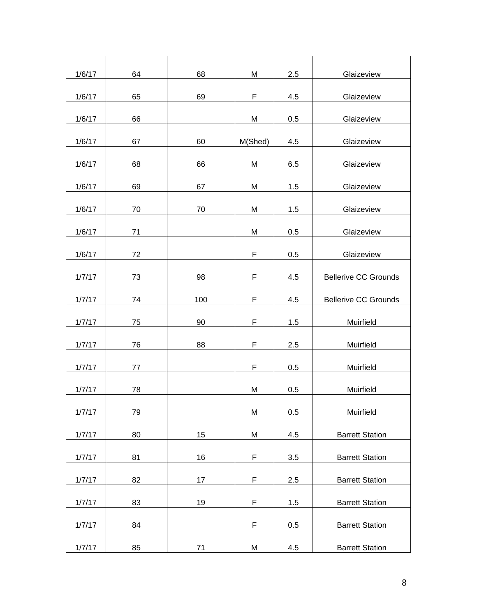| 1/6/17 | 64 | 68  | M           | 2.5 | Glaizeview                  |
|--------|----|-----|-------------|-----|-----------------------------|
| 1/6/17 | 65 | 69  | F           | 4.5 | Glaizeview                  |
| 1/6/17 | 66 |     | M           | 0.5 | Glaizeview                  |
| 1/6/17 | 67 | 60  | M(Shed)     | 4.5 | Glaizeview                  |
| 1/6/17 | 68 | 66  | M           | 6.5 | Glaizeview                  |
| 1/6/17 | 69 | 67  | M           | 1.5 | Glaizeview                  |
| 1/6/17 | 70 | 70  | M           | 1.5 | Glaizeview                  |
| 1/6/17 | 71 |     | M           | 0.5 | Glaizeview                  |
| 1/6/17 | 72 |     | $\mathsf F$ | 0.5 | Glaizeview                  |
| 1/7/17 | 73 | 98  | F           | 4.5 | <b>Bellerive CC Grounds</b> |
|        |    |     |             |     |                             |
| 1/7/17 | 74 | 100 | F           | 4.5 | <b>Bellerive CC Grounds</b> |
| 1/7/17 | 75 | 90  | F           | 1.5 | Muirfield                   |
| 1/7/17 | 76 | 88  | $\mathsf F$ | 2.5 | Muirfield                   |
| 1/7/17 | 77 |     | F           | 0.5 | Muirfield                   |
| 1/7/17 | 78 |     | M           | 0.5 | Muirfield                   |
| 1/7/17 | 79 |     | M           | 0.5 | Muirfield                   |
| 1/7/17 | 80 | 15  | M           | 4.5 | <b>Barrett Station</b>      |
| 1/7/17 | 81 | 16  | F           | 3.5 | <b>Barrett Station</b>      |
| 1/7/17 | 82 | 17  | F           | 2.5 | <b>Barrett Station</b>      |
| 1/7/17 | 83 | 19  | F           | 1.5 | <b>Barrett Station</b>      |
| 1/7/17 | 84 |     | F           | 0.5 | <b>Barrett Station</b>      |
| 1/7/17 | 85 | 71  | M           | 4.5 | <b>Barrett Station</b>      |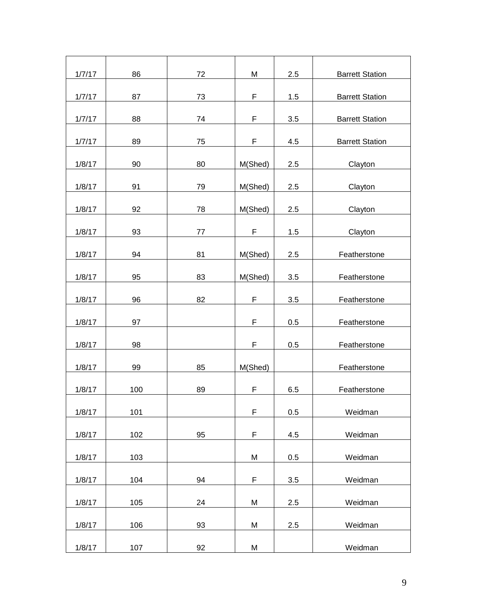| 1/7/17 | 86  | 72      | M           | 2.5 | <b>Barrett Station</b> |
|--------|-----|---------|-------------|-----|------------------------|
| 1/7/17 | 87  | 73      | F           | 1.5 | <b>Barrett Station</b> |
| 1/7/17 | 88  | 74      | F           | 3.5 | <b>Barrett Station</b> |
| 1/7/17 | 89  | 75      | F           | 4.5 | <b>Barrett Station</b> |
|        |     |         |             |     |                        |
| 1/8/17 | 90  | 80      | M(Shed)     | 2.5 | Clayton                |
| 1/8/17 | 91  | 79      | M(Shed)     | 2.5 | Clayton                |
| 1/8/17 | 92  | 78      | M(Shed)     | 2.5 | Clayton                |
| 1/8/17 | 93  | $77 \,$ | F           | 1.5 | Clayton                |
| 1/8/17 | 94  | 81      | M(Shed)     | 2.5 | Featherstone           |
| 1/8/17 | 95  | 83      | M(Shed)     | 3.5 | Featherstone           |
| 1/8/17 | 96  | 82      | F           | 3.5 | Featherstone           |
| 1/8/17 | 97  |         | F           | 0.5 | Featherstone           |
| 1/8/17 | 98  |         | F           | 0.5 | Featherstone           |
| 1/8/17 | 99  | 85      | M(Shed)     |     | Featherstone           |
| 1/8/17 | 100 | 89      | F           | 6.5 | Featherstone           |
| 1/8/17 | 101 |         | $\mathsf F$ | 0.5 | Weidman                |
| 1/8/17 | 102 | 95      | F           | 4.5 | Weidman                |
| 1/8/17 | 103 |         | M           | 0.5 | Weidman                |
|        |     |         |             |     |                        |
| 1/8/17 | 104 | 94      | F           | 3.5 | Weidman                |
| 1/8/17 | 105 | 24      | M           | 2.5 | Weidman                |
| 1/8/17 | 106 | 93      | M           | 2.5 | Weidman                |
| 1/8/17 | 107 | 92      | M           |     | Weidman                |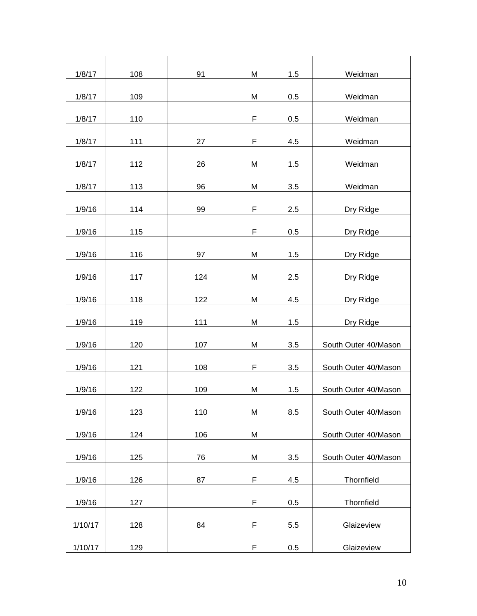| 1/8/17             | 108        | 91  | M                | 1.5        | Weidman                  |
|--------------------|------------|-----|------------------|------------|--------------------------|
| 1/8/17             | 109        |     | M                | 0.5        | Weidman                  |
| 1/8/17             | 110        |     | F                | 0.5        | Weidman                  |
| 1/8/17             | 111        | 27  | F                | 4.5        | Weidman                  |
| 1/8/17             | 112        | 26  | M                | 1.5        | Weidman                  |
| 1/8/17             | 113        | 96  | M                | 3.5        | Weidman                  |
| 1/9/16             | 114        | 99  | $\mathsf F$      | 2.5        | Dry Ridge                |
| 1/9/16             | 115        |     | F                | 0.5        | Dry Ridge                |
| 1/9/16             | 116        | 97  | M                | 1.5        | Dry Ridge                |
| 1/9/16             | 117        | 124 | M                | 2.5        | Dry Ridge                |
| 1/9/16             | 118        | 122 | M                | 4.5        | Dry Ridge                |
| 1/9/16             | 119        | 111 | M                | 1.5        | Dry Ridge                |
| 1/9/16             | 120        | 107 | M                | 3.5        | South Outer 40/Mason     |
| 1/9/16             | 121        | 108 | F                | 3.5        | South Outer 40/Mason     |
| 1/9/16             | 122        | 109 | M                | 1.5        | South Outer 40/Mason     |
| 1/9/16             | 123        | 110 | M                | 8.5        | South Outer 40/Mason     |
| 1/9/16             | 124        | 106 | Μ                |            | South Outer 40/Mason     |
| 1/9/16             | 125        | 76  | M                | 3.5        | South Outer 40/Mason     |
| 1/9/16             | 126        | 87  | $\mathsf F$      | 4.5        | Thornfield               |
| 1/9/16             | 127        |     | F                | 0.5        | Thornfield               |
|                    |            |     |                  |            |                          |
| 1/10/17<br>1/10/17 | 128<br>129 | 84  | F<br>$\mathsf F$ | 5.5<br>0.5 | Glaizeview<br>Glaizeview |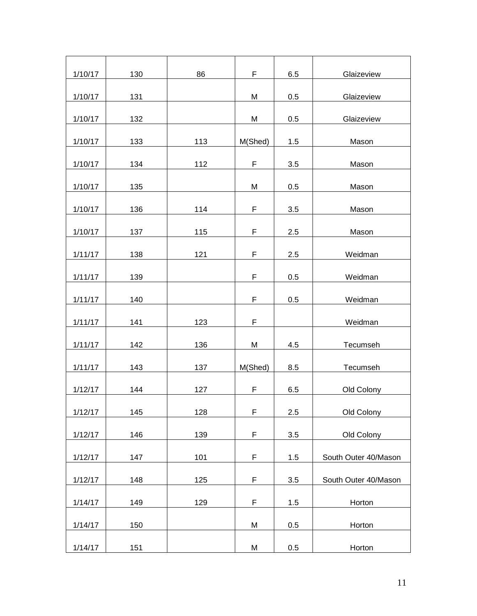| 1/10/17 | 130 | 86  | F       | 6.5 | Glaizeview           |
|---------|-----|-----|---------|-----|----------------------|
| 1/10/17 | 131 |     | M       | 0.5 | Glaizeview           |
| 1/10/17 | 132 |     | M       | 0.5 | Glaizeview           |
| 1/10/17 | 133 | 113 | M(Shed) | 1.5 | Mason                |
| 1/10/17 | 134 | 112 | F       | 3.5 | Mason                |
| 1/10/17 | 135 |     | M       | 0.5 | Mason                |
| 1/10/17 | 136 | 114 | F       | 3.5 | Mason                |
| 1/10/17 | 137 | 115 | F       | 2.5 | Mason                |
| 1/11/17 | 138 | 121 | F       | 2.5 | Weidman              |
| 1/11/17 | 139 |     | F       | 0.5 | Weidman              |
| 1/11/17 | 140 |     | F       | 0.5 | Weidman              |
| 1/11/17 | 141 | 123 | F       |     | Weidman              |
| 1/11/17 | 142 | 136 | M       | 4.5 | Tecumseh             |
| 1/11/17 | 143 | 137 | M(Shed) | 8.5 | Tecumseh             |
| 1/12/17 | 144 | 127 | F       | 6.5 | Old Colony           |
| 1/12/17 | 145 | 128 | F       | 2.5 | Old Colony           |
| 1/12/17 | 146 | 139 | F       | 3.5 | Old Colony           |
| 1/12/17 | 147 | 101 | F       | 1.5 | South Outer 40/Mason |
| 1/12/17 | 148 | 125 | F       | 3.5 | South Outer 40/Mason |
| 1/14/17 | 149 | 129 | F       | 1.5 | Horton               |
| 1/14/17 | 150 |     | M       | 0.5 | Horton               |
| 1/14/17 | 151 |     | M       | 0.5 | Horton               |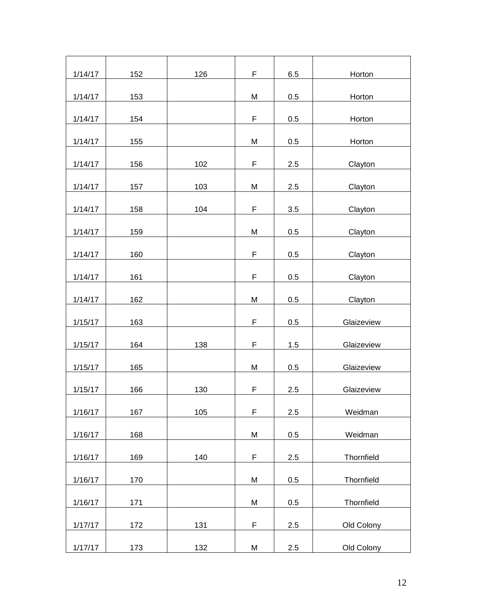| 1/14/17 | 152 | 126 | F           | 6.5 | Horton     |
|---------|-----|-----|-------------|-----|------------|
| 1/14/17 | 153 |     | M           | 0.5 | Horton     |
| 1/14/17 | 154 |     | $\mathsf F$ | 0.5 | Horton     |
| 1/14/17 | 155 |     | M           | 0.5 | Horton     |
| 1/14/17 | 156 | 102 | $\mathsf F$ | 2.5 | Clayton    |
| 1/14/17 | 157 | 103 | M           | 2.5 | Clayton    |
| 1/14/17 | 158 | 104 | F           | 3.5 | Clayton    |
| 1/14/17 | 159 |     | M           | 0.5 | Clayton    |
| 1/14/17 | 160 |     | $\mathsf F$ | 0.5 | Clayton    |
| 1/14/17 | 161 |     | F           | 0.5 | Clayton    |
|         |     |     |             |     |            |
| 1/14/17 | 162 |     | M           | 0.5 | Clayton    |
| 1/15/17 | 163 |     | F           | 0.5 | Glaizeview |
| 1/15/17 | 164 | 138 | $\mathsf F$ | 1.5 | Glaizeview |
| 1/15/17 | 165 |     | M           | 0.5 | Glaizeview |
| 1/15/17 | 166 | 130 | F           | 2.5 | Glaizeview |
| 1/16/17 | 167 | 105 | F           | 2.5 | Weidman    |
| 1/16/17 | 168 |     | M           | 0.5 | Weidman    |
| 1/16/17 | 169 | 140 | $\mathsf F$ | 2.5 | Thornfield |
| 1/16/17 | 170 |     | M           | 0.5 | Thornfield |
| 1/16/17 | 171 |     | M           | 0.5 | Thornfield |
| 1/17/17 | 172 | 131 | $\mathsf F$ | 2.5 | Old Colony |
| 1/17/17 | 173 | 132 | M           | 2.5 | Old Colony |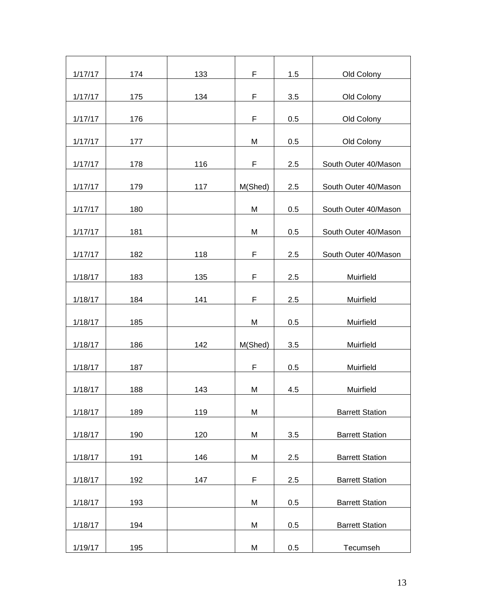| 1/17/17 | 174 | 133 | F       | 1.5 | Old Colony             |
|---------|-----|-----|---------|-----|------------------------|
| 1/17/17 | 175 | 134 | F       | 3.5 | Old Colony             |
| 1/17/17 | 176 |     | F       | 0.5 | Old Colony             |
| 1/17/17 | 177 |     | M       | 0.5 | Old Colony             |
| 1/17/17 | 178 | 116 | F       | 2.5 | South Outer 40/Mason   |
| 1/17/17 | 179 | 117 | M(Shed) | 2.5 | South Outer 40/Mason   |
| 1/17/17 | 180 |     | M       | 0.5 | South Outer 40/Mason   |
| 1/17/17 | 181 |     | M       | 0.5 | South Outer 40/Mason   |
| 1/17/17 | 182 | 118 | F       | 2.5 | South Outer 40/Mason   |
| 1/18/17 | 183 | 135 | F       | 2.5 | Muirfield              |
| 1/18/17 | 184 | 141 | F       | 2.5 | Muirfield              |
| 1/18/17 | 185 |     | M       | 0.5 | Muirfield              |
| 1/18/17 | 186 | 142 | M(Shed) | 3.5 | Muirfield              |
| 1/18/17 | 187 |     | F       | 0.5 | Muirfield              |
| 1/18/17 | 188 | 143 | M       | 4.5 | Muirfield              |
| 1/18/17 | 189 | 119 | M       |     | <b>Barrett Station</b> |
| 1/18/17 | 190 | 120 | M       | 3.5 | <b>Barrett Station</b> |
| 1/18/17 | 191 | 146 | M       | 2.5 | <b>Barrett Station</b> |
| 1/18/17 | 192 | 147 | F       | 2.5 | <b>Barrett Station</b> |
| 1/18/17 | 193 |     | M       | 0.5 | <b>Barrett Station</b> |
|         |     |     |         |     |                        |
| 1/18/17 | 194 |     | M       | 0.5 | <b>Barrett Station</b> |
| 1/19/17 | 195 |     | M       | 0.5 | Tecumseh               |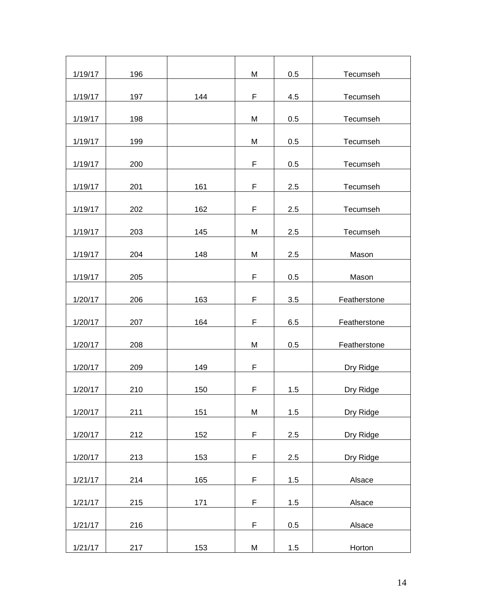| 1/19/17 | 196 |     | M | 0.5 | Tecumseh     |
|---------|-----|-----|---|-----|--------------|
| 1/19/17 | 197 | 144 | F | 4.5 | Tecumseh     |
|         |     |     |   |     |              |
| 1/19/17 | 198 |     | M | 0.5 | Tecumseh     |
| 1/19/17 | 199 |     | M | 0.5 | Tecumseh     |
|         |     |     |   |     |              |
| 1/19/17 | 200 |     | F | 0.5 | Tecumseh     |
| 1/19/17 | 201 | 161 | F | 2.5 | Tecumseh     |
| 1/19/17 | 202 | 162 | F | 2.5 | Tecumseh     |
|         |     |     |   |     |              |
| 1/19/17 | 203 | 145 | M | 2.5 | Tecumseh     |
| 1/19/17 | 204 | 148 | M | 2.5 | Mason        |
|         |     |     |   |     |              |
| 1/19/17 | 205 |     | F | 0.5 | Mason        |
| 1/20/17 | 206 | 163 | F | 3.5 | Featherstone |
| 1/20/17 | 207 | 164 | F | 6.5 | Featherstone |
|         |     |     |   |     |              |
| 1/20/17 | 208 |     | M | 0.5 | Featherstone |
| 1/20/17 | 209 | 149 | F |     | Dry Ridge    |
| 1/20/17 | 210 | 150 | F | 1.5 | Dry Ridge    |
|         |     |     |   |     |              |
| 1/20/17 | 211 | 151 | M | 1.5 | Dry Ridge    |
| 1/20/17 | 212 | 152 | F | 2.5 | Dry Ridge    |
|         |     |     |   |     |              |
| 1/20/17 | 213 | 153 | F | 2.5 | Dry Ridge    |
| 1/21/17 | 214 | 165 | F | 1.5 | Alsace       |
| 1/21/17 | 215 | 171 | F | 1.5 | Alsace       |
|         |     |     |   |     |              |
| 1/21/17 | 216 |     | F | 0.5 | Alsace       |
| 1/21/17 | 217 | 153 | M | 1.5 | Horton       |